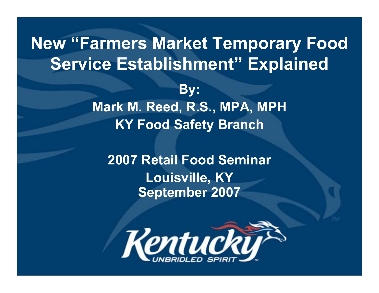## **New "Farmers Market Temporary Food Service Establishment" Explained By: Mark M. Reed, R.S., MPA, MPH KY Food Safety Branch**

**2007 Retail Food Seminar Louisville, KY September 2007**

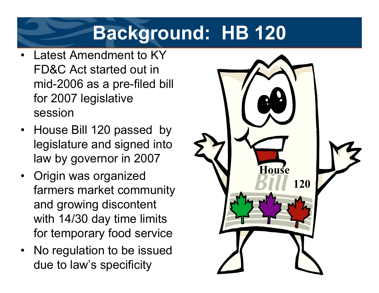## **Background: HB 120**

- • Latest Amendment to KY FD&C Act started out in mid-2006 as a pre-filed bill for 2007 legislative session
- House Bill 120 passed by legislature and signed into law by governor in 2007
- Origin was organized farmers market community and growing discontent with 14/30 day time limits for temporary food service
- No regulation to be issued due to law's specificity

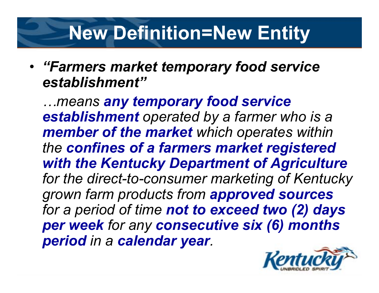## **New Definition=New Entity**

#### • *"Farmers market temporary food service establishment"*

*…means any temporary food service establishment operated by a farmer who is a member of the market which operates within the confines of a farmers market registered with the Kentucky Department of Agriculture for the direct-to-consumer marketing of Kentucky grown farm products from approved sources for a period of time not to exceed two (2) days per week for any consecutive six (6) months period in a calendar year.*

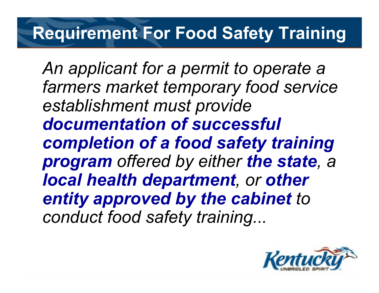## **Requirement For Food Safety Training**

*An applicant for a permit to operate a farmers market temporary food service establishment must provide documentation of successful completion of a food safety training program offered by either the state, <sup>a</sup> local health department, or other entity approved by the cabinet to conduct food safety training...*

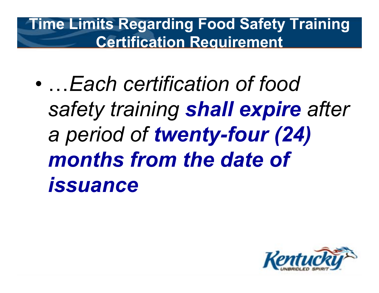**Time Limits Regarding Food Safety Training Certification Requirement**

 $\bullet$ 

 …*Each certification of food safety training shall expire after a period of twenty-four (24) months from the date of issuance*

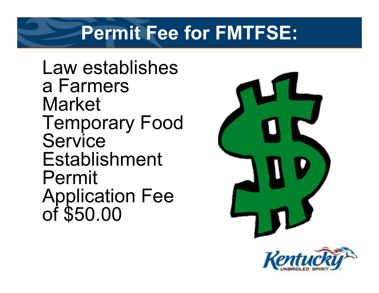## **Permit Fee for FMTFSE:**

Law establishes a Farmers Market Temporary Food **Service** Establishment Permit Application Fee<br>of \$50.00



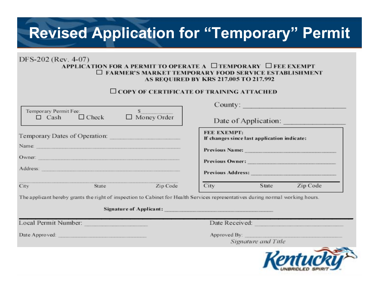### **Revised Application for "Temporary" Permit**

#### DFS-202 (Rev. 4-07) APPLICATION FOR A PERMIT TO OPERATE A □TEMPORARY □ FEE EXEMPT  $\square$  FARMER'S MARKET TEMPORARY FOOD SERVICE ESTABLISHMENT **AS REOUIRED BY KRS 217.005 TO 217.992**

#### $\Box$  COPY OF CERTIFICATE OF TRAINING ATTACHED

|                                      |              |                                       | County:                                                    |  |
|--------------------------------------|--------------|---------------------------------------|------------------------------------------------------------|--|
| Temporary Permit Fee:<br>$\Box$ Cash | $\Box$ Check | $\Box$ Money Order                    | Date of Application:                                       |  |
| Temporary Dates of Operation:        |              | and the control of the control of the | FEE EXEMPT:<br>If changes since last application indicate: |  |
| Name:                                |              |                                       | <b>Previous Name:</b>                                      |  |
| Owner:                               |              |                                       |                                                            |  |
| Address:                             |              |                                       | Previous Address:                                          |  |
| City                                 | State        | Zip Code                              | City<br>Zip Code<br>State                                  |  |

The applicant hereby grants the right of inspection to Cabinet for Health Services representatives during normal working hours.

| Signature of Applicant: |                                     |
|-------------------------|-------------------------------------|
| Local Permit Number:    | Date Received:                      |
| Date Approved:          | Approved By:<br>Signature and Title |
|                         |                                     |

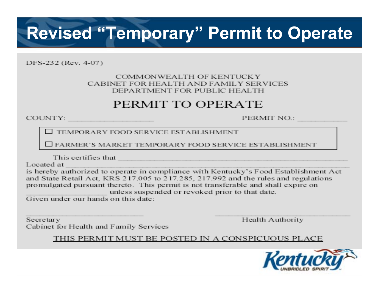## **Revised "Temporary" Permit to Operate**

DFS-232 (Rev. 4-07)

#### COMMONWEALTH OF KENTUCKY CABINET FOR HEALTH AND FAMILY SERVICES DEPARTMENT FOR PUBLIC HEALTH

#### PERMIT TO OPERATE

COUNTY.

PERMIT NO.:

TEMPORARY FOOD SERVICE ESTABLISHMENT

□ FARMER'S MARKET TEMPORARY FOOD SERVICE ESTABLISHMENT

This certifies that

Located at

is hereby authorized to operate in compliance with Kentucky's Food Establishment Act and State Retail Act, KRS 217.005 to 217.285, 217.992 and the rules and regulations promulgated pursuant thereto. This permit is not transferable and shall expire on unless suspended or revoked prior to that date.

Given under our hands on this date:

Secretary Cabinet for Health and Family Services Health Authority

THIS PERMIT MUST BE POSTED IN A CONSPICUOUS PLACE

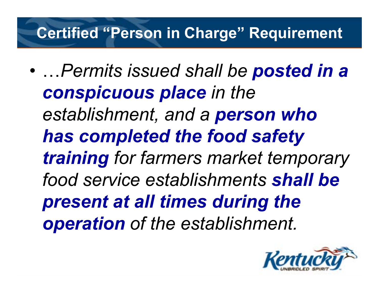### **Certified "Person in Charge" Requirement**

•

 …*Permits issued shall be posted in a conspicuous place in the establishment, and a person who has completed the food safety training for farmers market temporary food service establishments shall be present at all times during the operation of the establishment.*

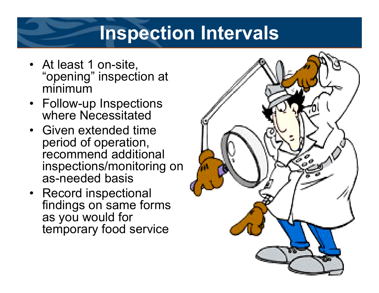## **Inspection Intervals**

- At least 1 on-site, "opening" inspection at minimum
- Follow-up Inspections where Necessitated
- •Given extended time period of operation, recommend additional inspections/monitoring on as-needed basis
- Record inspectional findings on same forms as you would for temporary food service

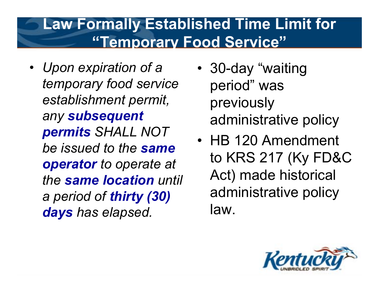#### **Law Formally Established Time Limit for "Temporary Food Service"**

- *Upon expiration of a temporary food service establishment permit, any subsequent permits SHALL NOT be issued to the same operator to operate at the same location until a period of thirty (30) days has elapsed.*
- • 30-day "waiting period" was previously administrative policy
- HB 120 Amendment to KRS 217 (Ky FD&C Act) made historical administrative policy law.

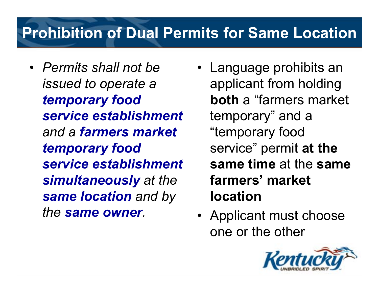## **Prohibition of Dual Permits for Same Location**

- *Permits shall not be issued to operate a temporary food service establishmentand a farmers market temporary food service establishmentsimultaneously at the same location and by the same owner.*
- Language prohibits an applicant from holding **both** a "farmers market temporary" and a "temporary food service" permit **at the same time** at the **same farmers' market location**
- Applicant must choose one or the other

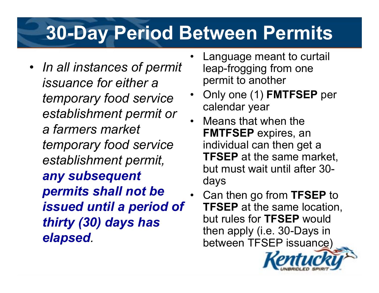## **30-Day Period Between Permits**

- *In all instances of permit issuance for either a temporary food service establishment permit or a farmers market temporary food service establishment permit, any subsequent permits shall not be issued until a period of thirty (30) days has elapsed.*
- • Language meant to curtail leap-frogging from one permit to another
- •Only one (1) **FMTFSEP** per calendar year
- •Means that when the **FMTFSEP** expires, an individual can then get a **TFSEP** at the same market, but must wait until after 30days
- •Can then go from **TFSEP** to **TFSEP** at the same location, but rules for **TFSEP** would then apply (i.e. 30-Days in between TFSEP issuance)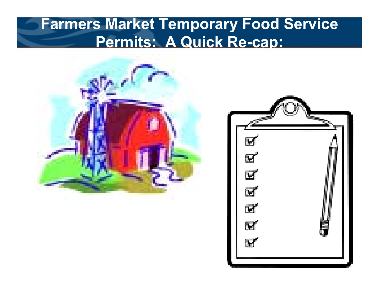#### **Farmers Market Temporary Food Service Permits: A Quick Re-cap:**



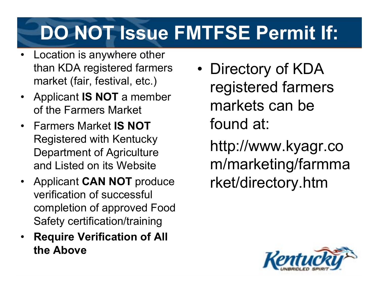# **DO NOT Issue FMTFSE Permit If:**

- Location is anywhere other than KDA registered farmers market (fair, festival, etc.)
- Applicant **IS NOT** a member of the Farmers Market
- •Farmers Market **IS NOT**Registered with Kentucky Department of Agriculture and Listed on its Website
- Applicant **CAN NOT** produce verification of successful completion of approved Food Safety certification/training
- • **Require Verification of All the Above**

•• Directory of KDA registered farmers markets can be found at:

http://www.kyagr.co m/marketing/farmma rket/directory.htm

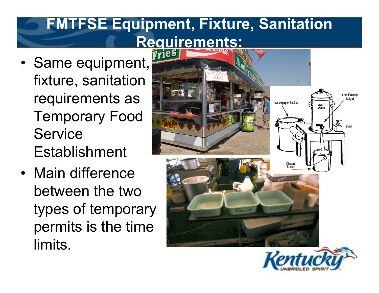## **FMTFSE Equipment, Fixture, Sanitation Requirements:**

- •• Same equipment, fixture, sanitation requirements as Temporary Food Service Establishment
- Main difference between the two types of temporary permits is the time limits.



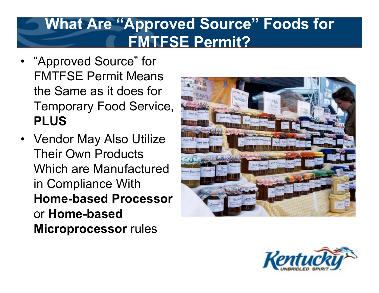#### **What Are "Approved Source" Foods for FMTFSE Permit?**

- "Approved Source" for FMTFSE Permit Means the Same as it does for Temporary Food Service, **PLUS**
- Vendor May Also Utilize Their Own Products Which are Manufactured in Compliance With **Home-based Processor** or **Home-based Microprocessor** rules



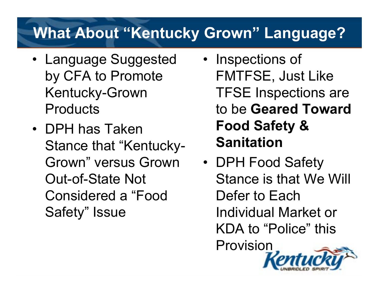## **What About "Kentucky Grown" Language?**

- Language Suggested by CFA to Promote Kentucky-Grown **Products**
- •DPH has Taken Stance that "Kentucky-Grown" versus Grown Out-of-State Not Considered a "Food Safety" Issue
- Inspections of FMTFSE, Just Like TFSE Inspections are to be **Geared Toward Food Safety & Sanitation**
- DPH Food Safety Stance is that We Will Defer to Each Individual Market or KDA to "Police" this Provision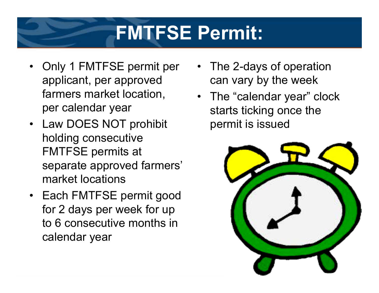## **FMTFSE Permit:**

- Only 1 FMTFSE permit per applicant, per approved farmers market location, per calendar year
- Law DOES NOT prohibit holding consecutive FMTFSE permits at separate approved farmers' market locations
- Each FMTFSE permit good for 2 days per week for up to 6 consecutive months in calendar year
- The 2-days of operation can vary by the week
- The "calendar year" clock starts ticking once the permit is issued

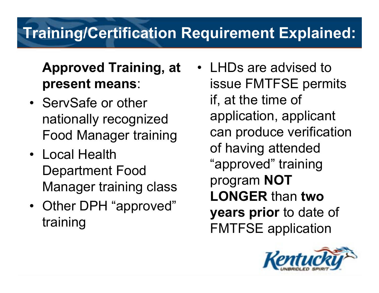## **Training/Certification Requirement Explained:**

#### **Approved Training, at present means**:

- ServSafe or other nationally recognized Food Manager training
- Local Health Department Food Manager training class
- Other DPH "approved" training
- LHDs are advised to issue FMTFSE permits if, at the time of application, applicant can produce verification of having attended "approved" training program **NOT LONGER** than **two years prior** to date of FMTFSE application